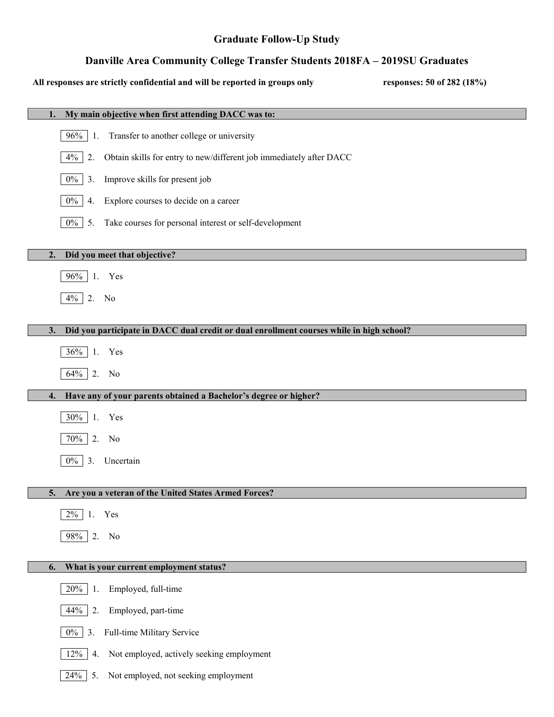# **Graduate Follow-Up Study**

# **Danville Area Community College Transfer Students 2018FA – 2019SU Graduates**

# **All responses are strictly confidential and will be reported in groups only responses: 50 of 282 (18%)**

| My main objective when first attending DACC was to:<br>1.                                      |
|------------------------------------------------------------------------------------------------|
| 96%<br>Transfer to another college or university<br>-1.                                        |
| 4%<br>Obtain skills for entry to new/different job immediately after DACC<br>2.                |
| Improve skills for present job<br>$0\%$<br>3.                                                  |
| $0\%$<br>Explore courses to decide on a career<br>4.                                           |
| $0\%$<br>Take courses for personal interest or self-development<br>5.                          |
| Did you meet that objective?<br>2.                                                             |
| 96% 1. Yes                                                                                     |
|                                                                                                |
| $4\%$ 2. No                                                                                    |
| Did you participate in DACC dual credit or dual enrollment courses while in high school?<br>3. |
| 36% 1. Yes                                                                                     |
| 64% 2. No                                                                                      |
| Have any of your parents obtained a Bachelor's degree or higher?<br>4.                         |
| 30% 1. Yes                                                                                     |
| 70%<br>2.<br>No                                                                                |
| $0\%$<br>3.<br>Uncertain                                                                       |
|                                                                                                |
| 5.<br>Are you a veteran of the United States Armed Forces?                                     |
| $2\%$<br>Yes<br>1.                                                                             |
| 98% 2.<br>No                                                                                   |
| What is your current employment status?<br>6.                                                  |
| 20%<br>Employed, full-time<br>1.                                                               |
| 44%<br>Employed, part-time<br>2.                                                               |
| $0\%$<br>Full-time Military Service<br>3.                                                      |
| 12%<br>Not employed, actively seeking employment<br>4.                                         |
| 24%<br>Not employed, not seeking employment<br>5.                                              |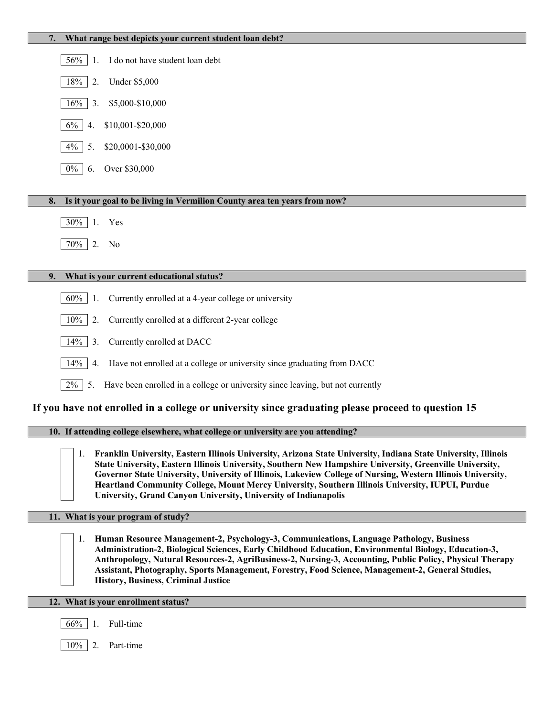| What range best depicts your current student loan debt?                                                                                                                                                                                                                                                                                                                                                                                                                                                                 |
|-------------------------------------------------------------------------------------------------------------------------------------------------------------------------------------------------------------------------------------------------------------------------------------------------------------------------------------------------------------------------------------------------------------------------------------------------------------------------------------------------------------------------|
| I do not have student loan debt<br>56%<br>-1.                                                                                                                                                                                                                                                                                                                                                                                                                                                                           |
| <b>Under \$5,000</b><br>18%<br>2.                                                                                                                                                                                                                                                                                                                                                                                                                                                                                       |
| \$5,000-\$10,000<br>16%<br>3.                                                                                                                                                                                                                                                                                                                                                                                                                                                                                           |
| \$10,001-\$20,000<br>$6\%$<br>4.                                                                                                                                                                                                                                                                                                                                                                                                                                                                                        |
| \$20,0001-\$30,000<br>$4\%$<br>5.                                                                                                                                                                                                                                                                                                                                                                                                                                                                                       |
| Over \$30,000<br>$0\%$<br>6.                                                                                                                                                                                                                                                                                                                                                                                                                                                                                            |
| Is it your goal to be living in Vermilion County area ten years from now?<br>8.                                                                                                                                                                                                                                                                                                                                                                                                                                         |
|                                                                                                                                                                                                                                                                                                                                                                                                                                                                                                                         |
| $30\%$ 1.<br>Yes                                                                                                                                                                                                                                                                                                                                                                                                                                                                                                        |
| 70% 2. No                                                                                                                                                                                                                                                                                                                                                                                                                                                                                                               |
|                                                                                                                                                                                                                                                                                                                                                                                                                                                                                                                         |
| What is your current educational status?<br>9.                                                                                                                                                                                                                                                                                                                                                                                                                                                                          |
| Currently enrolled at a 4-year college or university<br>$60\%$<br>1.                                                                                                                                                                                                                                                                                                                                                                                                                                                    |
| Currently enrolled at a different 2-year college<br>2.<br>$10\%$                                                                                                                                                                                                                                                                                                                                                                                                                                                        |
| Currently enrolled at DACC<br>14%<br>3.                                                                                                                                                                                                                                                                                                                                                                                                                                                                                 |
| Have not enrolled at a college or university since graduating from DACC<br>14%<br>4.                                                                                                                                                                                                                                                                                                                                                                                                                                    |
| Have been enrolled in a college or university since leaving, but not currently<br>$2\%$<br>5.                                                                                                                                                                                                                                                                                                                                                                                                                           |
| If you have not enrolled in a college or university since graduating please proceed to question 15                                                                                                                                                                                                                                                                                                                                                                                                                      |
| 10. If attending college elsewhere, what college or university are you attending?                                                                                                                                                                                                                                                                                                                                                                                                                                       |
| Franklin University, Eastern Illinois University, Arizona State University, Indiana State University, Illinois<br>1.<br>State University, Eastern Illinois University, Southern New Hampshire University, Greenville University,<br>Governor State University, University of Illinois, Lakeview College of Nursing, Western Illinois University,<br>Heartland Community College, Mount Mercy University, Southern Illinois University, IUPUI, Purdue<br>University, Grand Canyon University, University of Indianapolis |
| 11. What is your program of study?                                                                                                                                                                                                                                                                                                                                                                                                                                                                                      |
| Human Resource Management-2, Psychology-3, Communications, Language Pathology, Business<br>1.<br>Administration-2, Biological Sciences, Early Childhood Education, Environmental Biology, Education-3,<br>Anthropology, Natural Resources-2, AgriBusiness-2, Nursing-3, Accounting, Public Policy, Physical Therapy<br>Assistant, Photography, Sports Management, Forestry, Food Science, Management-2, General Studies,<br><b>History, Business, Criminal Justice</b>                                                  |
| 12. What is your enrollment status?                                                                                                                                                                                                                                                                                                                                                                                                                                                                                     |
| Full-time<br>$66\%$   1.                                                                                                                                                                                                                                                                                                                                                                                                                                                                                                |

10% 2. Part-time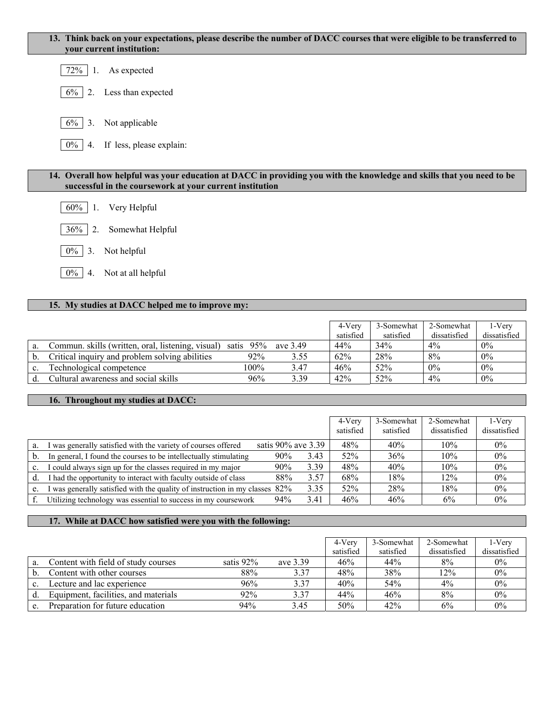### **13. Think back on your expectations, please describe the number of DACC courses that were eligible to be transferred to your current institution:**

| 72% |  | As expected |
|-----|--|-------------|
|-----|--|-------------|

- $\begin{array}{|c|c|} \hline 6\% & 2. &$  Less than expected
- 6% 3. Not applicable

|  | $\boxed{0\%}$ 4. If less, please explain: |  |
|--|-------------------------------------------|--|
|--|-------------------------------------------|--|

#### **14. Overall how helpful was your education at DACC in providing you with the knowledge and skills that you need to be successful in the coursework at your current institution**

- 60% 1. Very Helpful
- 36% 2. Somewhat Helpful
- 0% 3. Not helpful
- 0% 4. Not at all helpful

### **15. My studies at DACC helped me to improve my:**

|    |                                                   |           |          | 4-Very    | 3-Somewhat | 2-Somewhat   | 1-Verv       |
|----|---------------------------------------------------|-----------|----------|-----------|------------|--------------|--------------|
|    |                                                   |           |          | satisfied | satisfied  | dissatisfied | dissatisfied |
| a. | Commun. skills (written, oral, listening, visual) | satis 95% | ave 3.49 | 44%       | 34%        | $4\%$        | $0\%$        |
| b. | Critical inquiry and problem solving abilities    | 92%       | 3.55     | 62%       | 28%        | 8%           | $0\%$        |
| c. | Technological competence                          | $100\%$   | 3.47     | 46%       | 52%        | $0\%$        | $0\%$        |
|    | Cultural awareness and social skills              | 96%       | 3.39     | 42%       | 52%        | $4\%$        | $0\%$        |

## **16. Throughout my studies at DACC:**

|    |                                                                              |                       |      | 4-Very<br>satisfied | 3-Somewhat<br>satisfied | 2-Somewhat<br>dissatisfied | $1-V$ ery<br>dissatisfied |
|----|------------------------------------------------------------------------------|-----------------------|------|---------------------|-------------------------|----------------------------|---------------------------|
| a. | I was generally satisfied with the variety of courses offered                | satis $90\%$ ave 3.39 |      | 48%                 | 40%                     | $10\%$                     | $0\%$                     |
| b. | In general, I found the courses to be intellectually stimulating             | 90%                   | 3.43 | 52%                 | 36%                     | 10%                        | 0%                        |
| c. | I could always sign up for the classes required in my major                  | 90%                   | 3.39 | 48%                 | 40%                     | 10%                        | $0\%$                     |
| d. | I had the opportunity to interact with faculty outside of class              | 88%                   | 3.57 | 68%                 | 18%                     | 12%                        | $0\%$                     |
| e. | was generally satisfied with the quality of instruction in my classes $82\%$ |                       | 3.35 | 52%                 | 28%                     | 18%                        | $0\%$                     |
|    | Utilizing technology was essential to success in my coursework               | 94%                   | 3.41 | 46%                 | 46%                     | 6%                         | $0\%$                     |

#### **17. While at DACC how satisfied were you with the following:**

|                                      |           |          | 4-Verv    | 3-Somewhat | 2-Somewhat   | 1-Verv       |
|--------------------------------------|-----------|----------|-----------|------------|--------------|--------------|
|                                      |           |          | satisfied | satisfied  | dissatisfied | dissatisfied |
| Content with field of study courses  | satis 92% | ave 3.39 | 46%       | 44%        | 8%           | $0\%$        |
| Content with other courses           | 88%       | 3.37     | 48%       | 38%        | 12%          | $0\%$        |
| Lecture and lac experience           | 96%       | 3.37     | 40%       | 54%        | $4\%$        | $0\%$        |
| Equipment, facilities, and materials | 92%       | 3.37     | 44%       | 46%        | 8%           | $0\%$        |
| Preparation for future education     | 94%       | 3.45     | 50%       | 42%        | 6%           | $0\%$        |